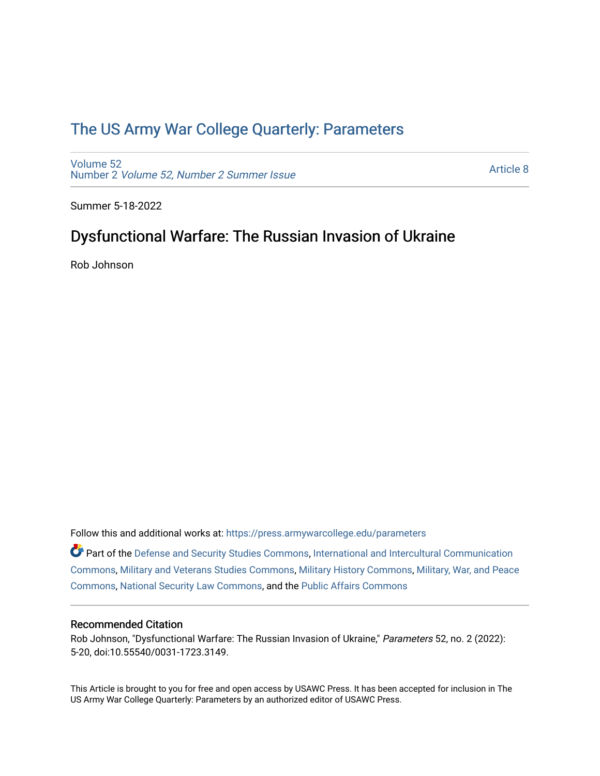## [The US Army War College Quarterly: Parameters](https://press.armywarcollege.edu/parameters)

[Volume 52](https://press.armywarcollege.edu/parameters/vol52) Number 2 [Volume 52, Number 2 Summer Issue](https://press.armywarcollege.edu/parameters/vol52/iss2)

[Article 8](https://press.armywarcollege.edu/parameters/vol52/iss2/8) 

Summer 5-18-2022

# Dysfunctional Warfare: The Russian Invasion of Ukraine

Rob Johnson

Follow this and additional works at: [https://press.armywarcollege.edu/parameters](https://press.armywarcollege.edu/parameters?utm_source=press.armywarcollege.edu%2Fparameters%2Fvol52%2Fiss2%2F8&utm_medium=PDF&utm_campaign=PDFCoverPages) 

Part of the [Defense and Security Studies Commons](https://network.bepress.com/hgg/discipline/394?utm_source=press.armywarcollege.edu%2Fparameters%2Fvol52%2Fiss2%2F8&utm_medium=PDF&utm_campaign=PDFCoverPages), [International and Intercultural Communication](https://network.bepress.com/hgg/discipline/331?utm_source=press.armywarcollege.edu%2Fparameters%2Fvol52%2Fiss2%2F8&utm_medium=PDF&utm_campaign=PDFCoverPages)  [Commons](https://network.bepress.com/hgg/discipline/331?utm_source=press.armywarcollege.edu%2Fparameters%2Fvol52%2Fiss2%2F8&utm_medium=PDF&utm_campaign=PDFCoverPages), [Military and Veterans Studies Commons,](https://network.bepress.com/hgg/discipline/396?utm_source=press.armywarcollege.edu%2Fparameters%2Fvol52%2Fiss2%2F8&utm_medium=PDF&utm_campaign=PDFCoverPages) [Military History Commons,](https://network.bepress.com/hgg/discipline/504?utm_source=press.armywarcollege.edu%2Fparameters%2Fvol52%2Fiss2%2F8&utm_medium=PDF&utm_campaign=PDFCoverPages) [Military, War, and Peace](https://network.bepress.com/hgg/discipline/861?utm_source=press.armywarcollege.edu%2Fparameters%2Fvol52%2Fiss2%2F8&utm_medium=PDF&utm_campaign=PDFCoverPages) [Commons](https://network.bepress.com/hgg/discipline/861?utm_source=press.armywarcollege.edu%2Fparameters%2Fvol52%2Fiss2%2F8&utm_medium=PDF&utm_campaign=PDFCoverPages), [National Security Law Commons,](https://network.bepress.com/hgg/discipline/1114?utm_source=press.armywarcollege.edu%2Fparameters%2Fvol52%2Fiss2%2F8&utm_medium=PDF&utm_campaign=PDFCoverPages) and the [Public Affairs Commons](https://network.bepress.com/hgg/discipline/399?utm_source=press.armywarcollege.edu%2Fparameters%2Fvol52%2Fiss2%2F8&utm_medium=PDF&utm_campaign=PDFCoverPages) 

### Recommended Citation

Rob Johnson, "Dysfunctional Warfare: The Russian Invasion of Ukraine," Parameters 52, no. 2 (2022): 5-20, doi:10.55540/0031-1723.3149.

This Article is brought to you for free and open access by USAWC Press. It has been accepted for inclusion in The US Army War College Quarterly: Parameters by an authorized editor of USAWC Press.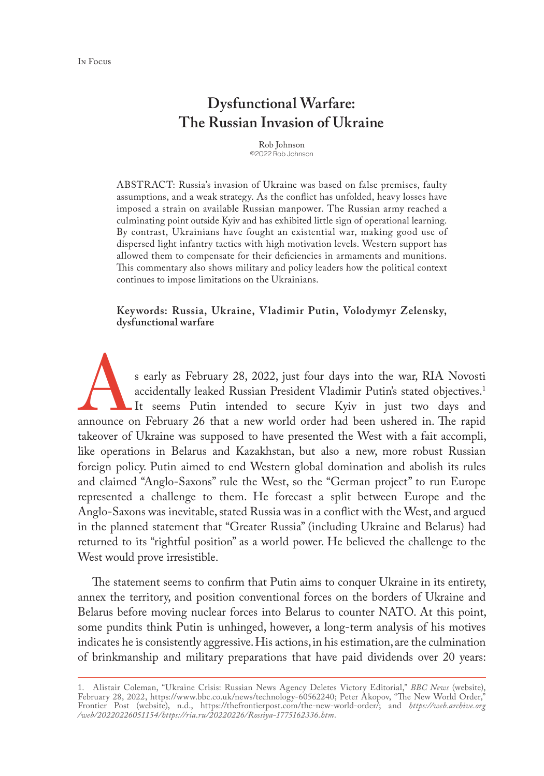## **Dysfunctional Warfare: The Russian Invasion of Ukraine**

Rob Johnson ©2022 Rob Johnson

ABSTRACT: Russia's invasion of Ukraine was based on false premises, faulty assumptions, and a weak strategy. As the conflict has unfolded, heavy losses have imposed a strain on available Russian manpower. The Russian army reached a culminating point outside Kyiv and has exhibited little sign of operational learning. By contrast, Ukrainians have fought an existential war, making good use of dispersed light infantry tactics with high motivation levels. Western support has allowed them to compensate for their deficiencies in armaments and munitions. This commentary also shows military and policy leaders how the political context continues to impose limitations on the Ukrainians.

**Keywords: Russia, Ukraine, Vladimir Putin, Volodymyr Zelensky, dysfunctional warfare**

s early as February 28, 2022, just four days into the war, RIA Novosti accidentally leaked Russian President Vladimir Putin's stated objectives.<sup>1</sup> It seems Putin intended to secure Kyiv in just two days and announce on February 26 that a new world order had been ushered in. The rapid takeover of Ukraine was supposed to have presented the West with a fait accompli, like operations in Belarus and Kazakhstan, but also a new, more robust Russian foreign policy. Putin aimed to end Western global domination and abolish its rules and claimed "Anglo-Saxons" rule the West, so the "German project" to run Europe represented a challenge to them. He forecast a split between Europe and the Anglo-Saxons was inevitable, stated Russia was in a conflict with the West, and argued in the planned statement that "Greater Russia" (including Ukraine and Belarus) had returned to its "rightful position" as a world power. He believed the challenge to the West would prove irresistible.

The statement seems to confirm that Putin aims to conquer Ukraine in its entirety, annex the territory, and position conventional forces on the borders of Ukraine and Belarus before moving nuclear forces into Belarus to counter NATO. At this point, some pundits think Putin is unhinged, however, a long-term analysis of his motives indicates he is consistently aggressive. His actions, in his estimation, are the culmination of brinkmanship and military preparations that have paid dividends over 20 years:

<sup>1.</sup> Alistair Coleman, "Ukraine Crisis: Russian News Agency Deletes Victory Editorial," *BBC News* (website), February 28, 2022, [https://www.bbc.co.uk/news/technology-60562240;](https://www.bbc.co.uk/news/technology-60562240) Peter Akopov, "The New World Order," Frontier Post (website), n.d., <https://thefrontierpost.com/the-new-world-order/>; and *[https://web.archive.org](https://web.archive.org /web/20220226051154/https://ria.ru/20220226/Rossiya-1775162336.htm) [/web/20220226051154/https://ria.ru/20220226/Rossiya-1775162336.htm](https://web.archive.org /web/20220226051154/https://ria.ru/20220226/Rossiya-1775162336.htm)*.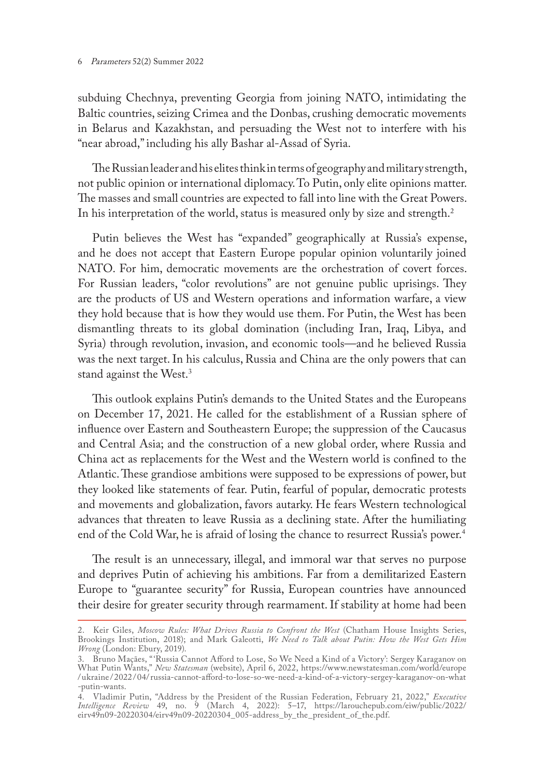#### 6 Parameters 52(2) Summer 2022

subduing Chechnya, preventing Georgia from joining NATO, intimidating the Baltic countries, seizing Crimea and the Donbas, crushing democratic movements in Belarus and Kazakhstan, and persuading the West not to interfere with his "near abroad," including his ally Bashar al-Assad of Syria.

The Russian leader and his elites think in terms of geography and military strength, not public opinion or international diplomacy. To Putin, only elite opinions matter. The masses and small countries are expected to fall into line with the Great Powers. In his interpretation of the world, status is measured only by size and strength.<sup>2</sup>

Putin believes the West has "expanded'' geographically at Russia's expense, and he does not accept that Eastern Europe popular opinion voluntarily joined NATO. For him, democratic movements are the orchestration of covert forces. For Russian leaders, "color revolutions" are not genuine public uprisings. They are the products of US and Western operations and information warfare, a view they hold because that is how they would use them. For Putin, the West has been dismantling threats to its global domination (including Iran, Iraq, Libya, and Syria) through revolution, invasion, and economic tools—and he believed Russia was the next target. In his calculus, Russia and China are the only powers that can stand against the West.3

This outlook explains Putin's demands to the United States and the Europeans on December 17, 2021. He called for the establishment of a Russian sphere of influence over Eastern and Southeastern Europe; the suppression of the Caucasus and Central Asia; and the construction of a new global order, where Russia and China act as replacements for the West and the Western world is confined to the Atlantic. These grandiose ambitions were supposed to be expressions of power, but they looked like statements of fear. Putin, fearful of popular, democratic protests and movements and globalization, favors autarky. He fears Western technological advances that threaten to leave Russia as a declining state. After the humiliating end of the Cold War, he is afraid of losing the chance to resurrect Russia's power.<sup>4</sup>

The result is an unnecessary, illegal, and immoral war that serves no purpose and deprives Putin of achieving his ambitions. Far from a demilitarized Eastern Europe to "guarantee security" for Russia, European countries have announced their desire for greater security through rearmament. If stability at home had been

<sup>2.</sup> Keir Giles, *Moscow Rules: What Drives Russia to Confront the West* (Chatham House Insights Series, Brookings Institution, 2018); and Mark Galeotti, *We Need to Talk about Putin: How the West Gets Him Wrong* (London: Ebury, 2019).

<sup>3.</sup> Bruno Maçães, "'Russia Cannot Afford to Lose, So We Need a Kind of a Victory': Sergey Karaganov on What Putin Wants," *New Statesman* (website), April 6, 2022, [https://www.newstatesman.com/world/europe](https://www.newstatesman.com/world/europe/ukraine /2022/04/russia-cannot-afford-to-lose-so-we-need-a-kind-of-a-victory-sergey-karaganov-on-what-putin-wants) /ukraine / 2022 / [04/russia-cannot-afford-to-lose-so-we-need-a-kind-of-a-victory-sergey-karaganov-on-what](https://www.newstatesman.com/world/europe/ukraine /2022/04/russia-cannot-afford-to-lose-so-we-need-a-kind-of-a-victory-sergey-karaganov-on-what-putin-wants) [-putin-wants](https://www.newstatesman.com/world/europe/ukraine /2022/04/russia-cannot-afford-to-lose-so-we-need-a-kind-of-a-victory-sergey-karaganov-on-what-putin-wants).

<sup>4.</sup> Vladimir Putin, "Address by the President of the Russian Federation, February 21, 2022," *Executive Intelligence Review* 49, no. 9 (March 4, 2022): 5–17, [https://larouchepub.com/eiw/public/2022/](https://larouchepub.com/eiw/public/2022/eirv49n09-20220304/eirv49n09-20220304_005-address_by_the_president_of_the.pdf) [eirv49n09-20220304/eirv49n09-20220304\\_005-address\\_by\\_the\\_president\\_of\\_the.pdf](https://larouchepub.com/eiw/public/2022/eirv49n09-20220304/eirv49n09-20220304_005-address_by_the_president_of_the.pdf).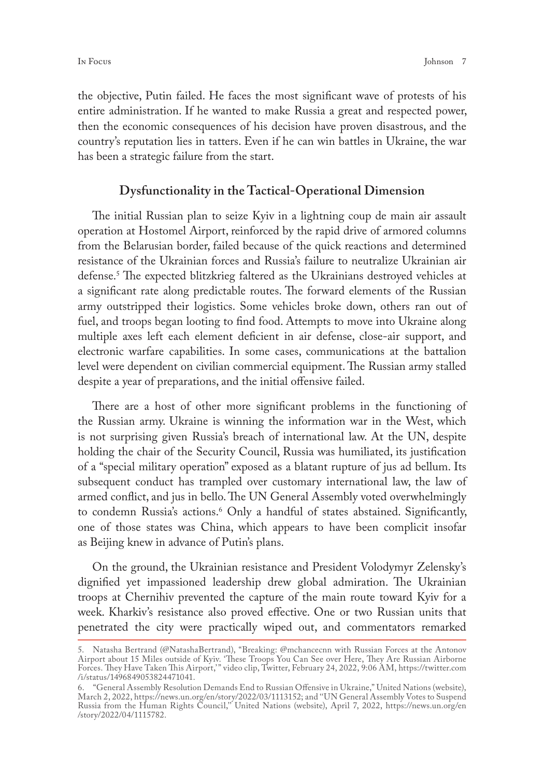the objective, Putin failed. He faces the most significant wave of protests of his entire administration. If he wanted to make Russia a great and respected power, then the economic consequences of his decision have proven disastrous, and the country's reputation lies in tatters. Even if he can win battles in Ukraine, the war has been a strategic failure from the start.

### **Dysfunctionality in the Tactical-Operational Dimension**

The initial Russian plan to seize Kyiv in a lightning coup de main air assault operation at Hostomel Airport, reinforced by the rapid drive of armored columns from the Belarusian border, failed because of the quick reactions and determined resistance of the Ukrainian forces and Russia's failure to neutralize Ukrainian air defense.5 The expected blitzkrieg faltered as the Ukrainians destroyed vehicles at a significant rate along predictable routes. The forward elements of the Russian army outstripped their logistics. Some vehicles broke down, others ran out of fuel, and troops began looting to find food. Attempts to move into Ukraine along multiple axes left each element deficient in air defense, close-air support, and electronic warfare capabilities. In some cases, communications at the battalion level were dependent on civilian commercial equipment. The Russian army stalled despite a year of preparations, and the initial offensive failed.

There are a host of other more significant problems in the functioning of the Russian army. Ukraine is winning the information war in the West, which is not surprising given Russia's breach of international law. At the UN, despite holding the chair of the Security Council, Russia was humiliated, its justification of a "special military operation" exposed as a blatant rupture of jus ad bellum. Its subsequent conduct has trampled over customary international law, the law of armed conflict, and jus in bello. The UN General Assembly voted overwhelmingly to condemn Russia's actions.<sup>6</sup> Only a handful of states abstained. Significantly, one of those states was China, which appears to have been complicit insofar as Beijing knew in advance of Putin's plans.

On the ground, the Ukrainian resistance and President Volodymyr Zelensky's dignified yet impassioned leadership drew global admiration. The Ukrainian troops at Chernihiv prevented the capture of the main route toward Kyiv for a week. Kharkiv's resistance also proved effective. One or two Russian units that penetrated the city were practically wiped out, and commentators remarked

<sup>5.</sup> Natasha Bertrand (@NatashaBertrand), "Breaking: @mchancecnn with Russian Forces at the Antonov Airport about 15 Miles outside of Kyiv. 'These Troops You Can See over Here, They Are Russian Airborne Forces. They Have Taken This Airport,'" video clip, Twitter, February 24, 2022, 9:06 AM, [https://twitter.com](https://twitter.com/i/status/1496849053824471041) [/i/status/1496849053824471041.](https://twitter.com/i/status/1496849053824471041)

<sup>6.</sup> "General Assembly Resolution Demands End to Russian Offensive in Ukraine," United Nations (website), March 2, 2022, https://news.un.org/en/story/2022/03/1113152; and ''UN General Assembly Votes to Suspend Russia from the Human Rights Council,'' United Nations (website), April 7, 2022, [https://news.un.org/en](https://news.un.org/en/story/2022/04/1115782) [/story/2022/04/1115782](https://news.un.org/en/story/2022/04/1115782).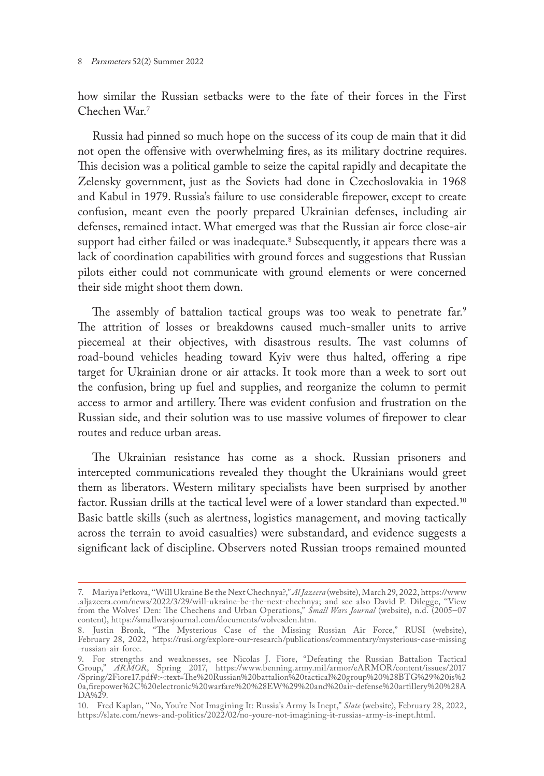how similar the Russian setbacks were to the fate of their forces in the First Chechen War<sup>7</sup>

Russia had pinned so much hope on the success of its coup de main that it did not open the offensive with overwhelming fires, as its military doctrine requires. This decision was a political gamble to seize the capital rapidly and decapitate the Zelensky government, just as the Soviets had done in Czechoslovakia in 1968 and Kabul in 1979. Russia's failure to use considerable firepower, except to create confusion, meant even the poorly prepared Ukrainian defenses, including air defenses, remained intact. What emerged was that the Russian air force close-air support had either failed or was inadequate.8 Subsequently, it appears there was a lack of coordination capabilities with ground forces and suggestions that Russian pilots either could not communicate with ground elements or were concerned their side might shoot them down.

The assembly of battalion tactical groups was too weak to penetrate far.<sup>9</sup> The attrition of losses or breakdowns caused much-smaller units to arrive piecemeal at their objectives, with disastrous results. The vast columns of road-bound vehicles heading toward Kyiv were thus halted, offering a ripe target for Ukrainian drone or air attacks. It took more than a week to sort out the confusion, bring up fuel and supplies, and reorganize the column to permit access to armor and artillery. There was evident confusion and frustration on the Russian side, and their solution was to use massive volumes of firepower to clear routes and reduce urban areas.

The Ukrainian resistance has come as a shock. Russian prisoners and intercepted communications revealed they thought the Ukrainians would greet them as liberators. Western military specialists have been surprised by another factor. Russian drills at the tactical level were of a lower standard than expected.<sup>10</sup> Basic battle skills (such as alertness, logistics management, and moving tactically across the terrain to avoid casualties) were substandard, and evidence suggests a significant lack of discipline. Observers noted Russian troops remained mounted

<sup>7.</sup> Mariya Petkova, ''Will Ukraine Be the Next Chechnya?," *Al Jazeera* (website), March 29, 2022, [https://www](https://www.aljazeera.com/news/2022/3/29/will-ukraine-be-the-next-chechnya) [.aljazeera.com/news/2022/3/29/will-ukraine-be-the-next-chechnya;](https://www.aljazeera.com/news/2022/3/29/will-ukraine-be-the-next-chechnya) and see also David P. Dilegge, ''View from the Wolves' Den: The Chechens and Urban Operations," *Small Wars Journal* (website), n.d. (2005–07 content), <https://smallwarsjournal.com/documents/wolvesden.htm>.

<sup>8.</sup> Justin Bronk, "The Mysterious Case of the Missing Russian Air Force," RUSI (website), February 28, 2022, [https://rusi.org/explore-our-research/publications/commentary/mysterious-case-missing](https://rusi.org/explore-our-research/publications/commentary/mysterious-case-missing-russian-air-force) [-russian-air-force.](https://rusi.org/explore-our-research/publications/commentary/mysterious-case-missing-russian-air-force)

<sup>9.</sup> For strengths and weaknesses, see Nicolas J. Fiore, "Defeating the Russian Battalion Tactical Group," *ARMOR*, Spring 2017, [https://www.benning.army.mil/armor/eARMOR/content/issues/2017](
https://www.benning.army.mil/armor/eARMOR/content/issues/2017/Spring/2Fiore17.pdf#:~:text=The%20Russian%20battalion%20tactical%20group%20%28BTG%29%20is%2 a,firepower%2C%20electronic%20warfare%20%28EW%29%20and%20air-defense%20artillery%28ADA%29
) [/Spring/2Fiore17.pdf#:~:text=The%20Russian%20battalion%20tactical%20group%20%28BTG%29%20is%2](
https://www.benning.army.mil/armor/eARMOR/content/issues/2017/Spring/2Fiore17.pdf#:~:text=The%20Russian%20battalion%20tactical%20group%20%28BTG%29%20is%2 a,firepower%2C%20electronic%20warfare%20%28EW%29%20and%20air-defense%20artillery%28ADA%29
) [0a,firepower%2C%20electronic%20warfare%20%28EW%29%20and%20air-defense%20artillery%20%28A](
https://www.benning.army.mil/armor/eARMOR/content/issues/2017/Spring/2Fiore17.pdf#:~:text=The%20Russian%20battalion%20tactical%20group%20%28BTG%29%20is%2 a,firepower%2C%20electronic%20warfare%20%28EW%29%20and%20air-defense%20artillery%28ADA%29
) [DA%29](
https://www.benning.army.mil/armor/eARMOR/content/issues/2017/Spring/2Fiore17.pdf#:~:text=The%20Russian%20battalion%20tactical%20group%20%28BTG%29%20is%2 a,firepower%2C%20electronic%20warfare%20%28EW%29%20and%20air-defense%20artillery%28ADA%29
).

<sup>10.</sup> Fred Kaplan, ''No, You're Not Imagining It: Russia's Army Is Inept," *Slate* (website), February 28, 2022, <https://slate.com/news-and-politics/2022/02/no-youre-not-imagining-it-russias-army-is-inept.html>.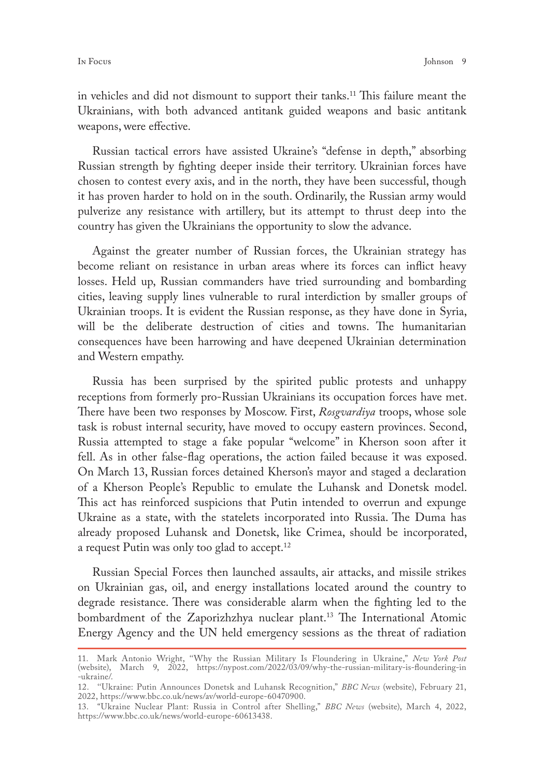in vehicles and did not dismount to support their tanks.<sup>11</sup> This failure meant the Ukrainians, with both advanced antitank guided weapons and basic antitank weapons, were effective.

Russian tactical errors have assisted Ukraine's ''defense in depth,'' absorbing Russian strength by fighting deeper inside their territory. Ukrainian forces have chosen to contest every axis, and in the north, they have been successful, though it has proven harder to hold on in the south. Ordinarily, the Russian army would pulverize any resistance with artillery, but its attempt to thrust deep into the country has given the Ukrainians the opportunity to slow the advance.

Against the greater number of Russian forces, the Ukrainian strategy has become reliant on resistance in urban areas where its forces can inflict heavy losses. Held up, Russian commanders have tried surrounding and bombarding cities, leaving supply lines vulnerable to rural interdiction by smaller groups of Ukrainian troops. It is evident the Russian response, as they have done in Syria, will be the deliberate destruction of cities and towns. The humanitarian consequences have been harrowing and have deepened Ukrainian determination and Western empathy.

Russia has been surprised by the spirited public protests and unhappy receptions from formerly pro-Russian Ukrainians its occupation forces have met. There have been two responses by Moscow. First, *Rosgvardiya* troops, whose sole task is robust internal security, have moved to occupy eastern provinces. Second, Russia attempted to stage a fake popular "welcome" in Kherson soon after it fell. As in other false-flag operations, the action failed because it was exposed. On March 13, Russian forces detained Kherson's mayor and staged a declaration of a Kherson People's Republic to emulate the Luhansk and Donetsk model. This act has reinforced suspicions that Putin intended to overrun and expunge Ukraine as a state, with the statelets incorporated into Russia. The Duma has already proposed Luhansk and Donetsk, like Crimea, should be incorporated, a request Putin was only too glad to accept.<sup>12</sup>

Russian Special Forces then launched assaults, air attacks, and missile strikes on Ukrainian gas, oil, and energy installations located around the country to degrade resistance. There was considerable alarm when the fighting led to the bombardment of the Zaporizhzhya nuclear plant.<sup>13</sup> The International Atomic Energy Agency and the UN held emergency sessions as the threat of radiation

<sup>11.</sup> Mark Antonio Wright, ''Why the Russian Military Is Floundering in Ukraine," *New York Post* (website), March 9, 2022, [https://nypost.com/2022/03/09/why-the-russian-military-is-floundering-in](https://nypost.com/2022/03/09/why-the-russian-military-is-floundering-in-ukraine/) [-ukraine/.](https://nypost.com/2022/03/09/why-the-russian-military-is-floundering-in-ukraine/)

<sup>12.</sup> ''Ukraine: Putin Announces Donetsk and Luhansk Recognition," *BBC News* (website), February 21, 2022, <https://www.bbc.co.uk/news/av/world-europe-60470900>.

<sup>13.</sup> "Ukraine Nuclear Plant: Russia in Control after Shelling," *BBC News* (website), March 4, 2022, <https://www.bbc.co.uk/news/world-europe-60613438>.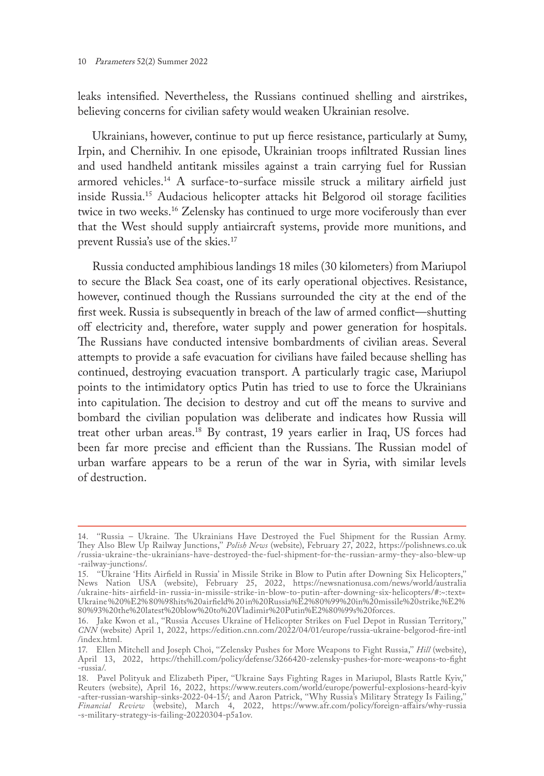leaks intensified. Nevertheless, the Russians continued shelling and airstrikes, believing concerns for civilian safety would weaken Ukrainian resolve.

Ukrainians, however, continue to put up fierce resistance, particularly at Sumy, Irpin, and Chernihiv. In one episode, Ukrainian troops infiltrated Russian lines and used handheld antitank missiles against a train carrying fuel for Russian armored vehicles.14 A surface-to-surface missile struck a military airfield just inside Russia.15 Audacious helicopter attacks hit Belgorod oil storage facilities twice in two weeks.<sup>16</sup> Zelensky has continued to urge more vociferously than ever that the West should supply antiaircraft systems, provide more munitions, and prevent Russia's use of the skies.17

Russia conducted amphibious landings 18 miles (30 kilometers) from Mariupol to secure the Black Sea coast, one of its early operational objectives. Resistance, however, continued though the Russians surrounded the city at the end of the first week. Russia is subsequently in breach of the law of armed conflict—shutting off electricity and, therefore, water supply and power generation for hospitals. The Russians have conducted intensive bombardments of civilian areas. Several attempts to provide a safe evacuation for civilians have failed because shelling has continued, destroying evacuation transport. A particularly tragic case, Mariupol points to the intimidatory optics Putin has tried to use to force the Ukrainians into capitulation. The decision to destroy and cut off the means to survive and bombard the civilian population was deliberate and indicates how Russia will treat other urban areas.18 By contrast, 19 years earlier in Iraq, US forces had been far more precise and efficient than the Russians. The Russian model of urban warfare appears to be a rerun of the war in Syria, with similar levels of destruction.

<sup>14.</sup> ''Russia – Ukraine. The Ukrainians Have Destroyed the Fuel Shipment for the Russian Army. They Also Blew Up Railway Junctions,'' *Polish News* (website), February 27, 2022, [https://polishnews.co.uk](https://polishnews.co.uk/russia-ukraine-the-ukrainians-have-destroyed-the-fuel-shipment-for-the-russian-army-they-also-blew-up-railway-junctions/) [/russia-ukraine-the-ukrainians-have-destroyed-the-fuel-shipment-for-the-russian-army-they-also-blew-up](https://polishnews.co.uk/russia-ukraine-the-ukrainians-have-destroyed-the-fuel-shipment-for-the-russian-army-they-also-blew-up-railway-junctions/) [-railway-junctions/](https://polishnews.co.uk/russia-ukraine-the-ukrainians-have-destroyed-the-fuel-shipment-for-the-russian-army-they-also-blew-up-railway-junctions/).

<sup>15.</sup> ''Ukraine 'Hits Airfield in Russia' in Missile Strike in Blow to Putin after Downing Six Helicopters,'' News Nation USA (website), February 25, 2022, [https://newsnationusa.com/news/world/australia](https://newsnationusa.com/news/world/australia/ukraine-hits-airfield-in-russia-in-missile-strike-in-blow-to-putin-after-downing-six-helicopters/#:~:text=Ukraine%20%E2%80%98hits%20airfield%20in%20Russia%E2%80%99%20in%20missile%20strike,%E2%80%93%20the%20latest%20blow%20to%20Vladimir%20Putin%E2%80%99s%20forces) /ukraine-hits- airfield-in- [russia-in-missile-strike-in-blow-to-putin-after-downing-six-helicopters/#:~:text=](https://newsnationusa.com/news/world/australia/ukraine-hits-airfield-in-russia-in-missile-strike-in-blow-to-putin-after-downing-six-helicopters/#:~:text=Ukraine%20%E2%80%98hits%20airfield%20in%20Russia%E2%80%99%20in%20missile%20strike,%E2%80%93%20the%20latest%20blow%20to%20Vladimir%20Putin%E2%80%99s%20forces) [Ukraine%20%E2%80%98hits%20airfield%20in%20Russia%E2%80%99%20in%20missile%20strike,%E2%](https://newsnationusa.com/news/world/australia/ukraine-hits-airfield-in-russia-in-missile-strike-in-blow-to-putin-after-downing-six-helicopters/#:~:text=Ukraine%20%E2%80%98hits%20airfield%20in%20Russia%E2%80%99%20in%20missile%20strike,%E2%80%93%20the%20latest%20blow%20to%20Vladimir%20Putin%E2%80%99s%20forces) [80%93%20the%20latest%20blow%20to%20Vladimir%20Putin%E2%80%99s%20forces](https://newsnationusa.com/news/world/australia/ukraine-hits-airfield-in-russia-in-missile-strike-in-blow-to-putin-after-downing-six-helicopters/#:~:text=Ukraine%20%E2%80%98hits%20airfield%20in%20Russia%E2%80%99%20in%20missile%20strike,%E2%80%93%20the%20latest%20blow%20to%20Vladimir%20Putin%E2%80%99s%20forces).

<sup>16.</sup> Jake Kwon et al., ''Russia Accuses Ukraine of Helicopter Strikes on Fuel Depot in Russian Territory,'' *CNN* (website) April 1, 2022, [https://edition.cnn.com/2022/04/01/europe/russia-ukraine-belgorod-fire-intl](https://edition.cnn.com/2022/04/01/europe/russia-ukraine-belgorod-fire-intl/index.html) [/index.html](https://edition.cnn.com/2022/04/01/europe/russia-ukraine-belgorod-fire-intl/index.html).

<sup>17.</sup> Ellen Mitchell and Joseph Choi, ''Zelensky Pushes for More Weapons to Fight Russia,'' *Hill* (website), April 13, 2022, [https://thehill.com/policy/defense/3266420-zelensky-pushes-for-more-weapons-to-fight](https://thehill.com/policy/defense/3266420-zelensky-pushes-for-more-weapons-to-fight -russia/) [-russia/](https://thehill.com/policy/defense/3266420-zelensky-pushes-for-more-weapons-to-fight -russia/).

<sup>18.</sup> Pavel Polityuk and Elizabeth Piper, ''Ukraine Says Fighting Rages in Mariupol, Blasts Rattle Kyiv,'' Reuters (website), April 16, 2022, https://www.reuters.com/world/europe/powerful-explosions-heard-kyiv -after-russian-warship-sinks-2022-04-15/; and Aaron Patrick, ''Why Russia's Military Strategy Is Failing,'' *Financial Review* (website), March 4, 2022, [https://www.afr.com/policy/foreign-affairs/why-russia](https://www.afr.com/policy/foreign-affairs/why-russia -s-military-strategy-is-failing-20220304-p5a1ov) [-s-military-strategy-is-failing-20220304-p5a1ov](https://www.afr.com/policy/foreign-affairs/why-russia -s-military-strategy-is-failing-20220304-p5a1ov).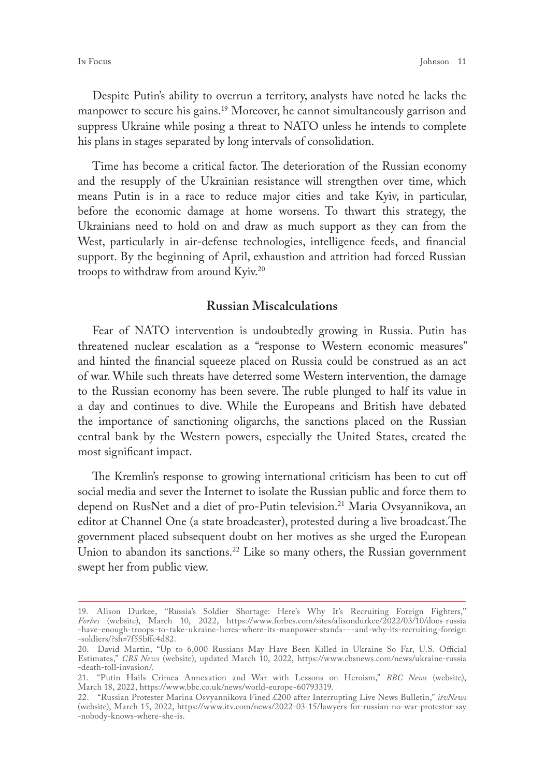Despite Putin's ability to overrun a territory, analysts have noted he lacks the manpower to secure his gains.<sup>19</sup> Moreover, he cannot simultaneously garrison and suppress Ukraine while posing a threat to NATO unless he intends to complete his plans in stages separated by long intervals of consolidation.

Time has become a critical factor. The deterioration of the Russian economy and the resupply of the Ukrainian resistance will strengthen over time, which means Putin is in a race to reduce major cities and take Kyiv, in particular, before the economic damage at home worsens. To thwart this strategy, the Ukrainians need to hold on and draw as much support as they can from the West, particularly in air-defense technologies, intelligence feeds, and financial support. By the beginning of April, exhaustion and attrition had forced Russian troops to withdraw from around Kyiv.20

#### **Russian Miscalculations**

Fear of NATO intervention is undoubtedly growing in Russia. Putin has threatened nuclear escalation as a "response to Western economic measures" and hinted the financial squeeze placed on Russia could be construed as an act of war. While such threats have deterred some Western intervention, the damage to the Russian economy has been severe. The ruble plunged to half its value in a day and continues to dive. While the Europeans and British have debated the importance of sanctioning oligarchs, the sanctions placed on the Russian central bank by the Western powers, especially the United States, created the most significant impact.

The Kremlin's response to growing international criticism has been to cut off social media and sever the Internet to isolate the Russian public and force them to depend on RusNet and a diet of pro-Putin television.<sup>21</sup> Maria Ovsyannikova, an editor at Channel One (a state broadcaster), protested during a live broadcast.The government placed subsequent doubt on her motives as she urged the European Union to abandon its sanctions.<sup>22</sup> Like so many others, the Russian government swept her from public view.

<sup>19.</sup> Alison Durkee, ''Russia's Soldier Shortage: Here's Why It's Recruiting Foreign Fighters,'' *Forbes* (website), March 10, 2022, [https://www.forbes.com/sites/alisondurkee/2022/03/10/does-russia](https://www.forbes.com/sites/alisondurkee/2022/03/10/does-russia-have-enough-troops-to-take-ukraine-heres-where-its-manpower-stands---and-why-its-recruiting-foreign-soldiers/?sh=7f55bffc4d82) [-have-enough-troops-to-take-ukraine-heres-where-its-manpower-stands- - -and-why-its-recruiting-foreign](https://www.forbes.com/sites/alisondurkee/2022/03/10/does-russia-have-enough-troops-to-take-ukraine-heres-where-its-manpower-stands---and-why-its-recruiting-foreign-soldiers/?sh=7f55bffc4d82) [-soldiers/?sh=7f55bffc4d82](https://www.forbes.com/sites/alisondurkee/2022/03/10/does-russia-have-enough-troops-to-take-ukraine-heres-where-its-manpower-stands---and-why-its-recruiting-foreign-soldiers/?sh=7f55bffc4d82).

<sup>20.</sup> David Martin, "Up to 6,000 Russians May Have Been Killed in Ukraine So Far, U.S. Official Estimates," *CBS News* (website), updated March 10, 2022, [https://www.cbsnews.com/news/ukraine-russia](https://www.cbsnews.com/news/ukraine-russia-death-toll-invasion/) [-death-toll-invasion/](https://www.cbsnews.com/news/ukraine-russia-death-toll-invasion/).

<sup>21.</sup> "Putin Hails Crimea Annexation and War with Lessons on Heroism," *BBC News* (website), March 18, 2022, [https://www.bbc.co.uk/news/world-europe-60793319.](https://www.bbc.co.uk/news/world-europe-60793319)

<sup>22.</sup> "Russian Protester Marina Osvyannikova Fined £200 after Interrupting Live News Bulletin," *itvNews*  (website), March 15, 2022, [https://www.itv.com/news/2022-03-15/lawyers-for-russian-no-war-protestor-say](https://www.itv.com/news/2022-03-15/lawyers-for-russian-no-war-protestor-say-nobody-knows-where-she-is) [-nobody-knows-where-she-is](https://www.itv.com/news/2022-03-15/lawyers-for-russian-no-war-protestor-say-nobody-knows-where-she-is).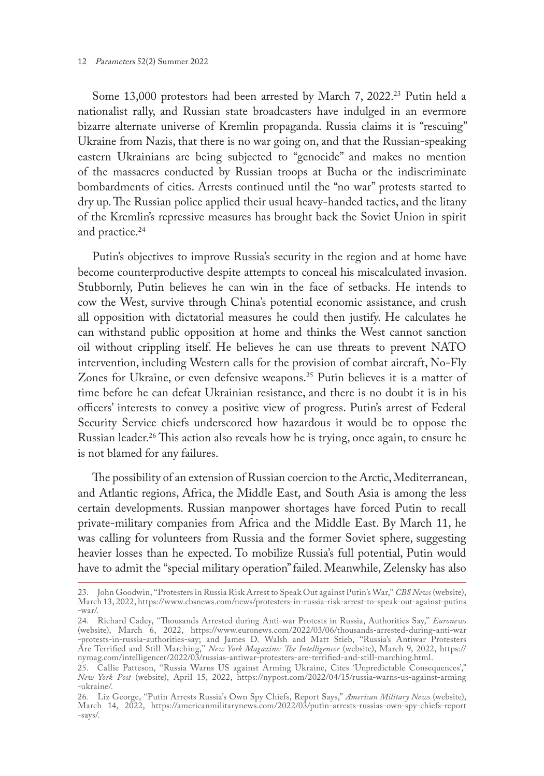#### 12 Parameters 52(2) Summer 2022

Some 13,000 protestors had been arrested by March 7, 2022.<sup>23</sup> Putin held a nationalist rally, and Russian state broadcasters have indulged in an evermore bizarre alternate universe of Kremlin propaganda. Russia claims it is "rescuing" Ukraine from Nazis, that there is no war going on, and that the Russian-speaking eastern Ukrainians are being subjected to ''genocide'' and makes no mention of the massacres conducted by Russian troops at Bucha or the indiscriminate bombardments of cities. Arrests continued until the "no war" protests started to dry up. The Russian police applied their usual heavy-handed tactics, and the litany of the Kremlin's repressive measures has brought back the Soviet Union in spirit and practice.<sup>24</sup>

Putin's objectives to improve Russia's security in the region and at home have become counterproductive despite attempts to conceal his miscalculated invasion. Stubbornly, Putin believes he can win in the face of setbacks. He intends to cow the West, survive through China's potential economic assistance, and crush all opposition with dictatorial measures he could then justify. He calculates he can withstand public opposition at home and thinks the West cannot sanction oil without crippling itself. He believes he can use threats to prevent NATO intervention, including Western calls for the provision of combat aircraft, No-Fly Zones for Ukraine, or even defensive weapons.<sup>25</sup> Putin believes it is a matter of time before he can defeat Ukrainian resistance, and there is no doubt it is in his officers' interests to convey a positive view of progress. Putin's arrest of Federal Security Service chiefs underscored how hazardous it would be to oppose the Russian leader.26 This action also reveals how he is trying, once again, to ensure he is not blamed for any failures.

The possibility of an extension of Russian coercion to the Arctic, Mediterranean, and Atlantic regions, Africa, the Middle East, and South Asia is among the less certain developments. Russian manpower shortages have forced Putin to recall private-military companies from Africa and the Middle East. By March 11, he was calling for volunteers from Russia and the former Soviet sphere, suggesting heavier losses than he expected. To mobilize Russia's full potential, Putin would have to admit the "special military operation" failed. Meanwhile, Zelensky has also

<sup>23.</sup> John Goodwin, ''Protesters in Russia Risk Arrest to Speak Out against Putin's War,'' *CBS News* (website), March 13, 2022, [https://www.cbsnews.com/news/protesters-in-russia-risk-arrest-to-speak-out-against-putins](https://www.cbsnews.com/news/protesters-in-russia-risk-arrest-to-speak-out-against-putins-war/) [-war/](https://www.cbsnews.com/news/protesters-in-russia-risk-arrest-to-speak-out-against-putins-war/).

<sup>24.</sup> Richard Cadey, ''Thousands Arrested during Anti-war Protests in Russia, Authorities Say,'' *Euronews* (website), March 6, 2022, [https://www.euronews.com/2022/03/06/thousands-arrested-during-anti-war](https://www.euronews.com/2022/03/06/thousands-arrested-during-anti-war-protests-in-russia-authorities-say) [-protests-in-russia-authorities-say](https://www.euronews.com/2022/03/06/thousands-arrested-during-anti-war-protests-in-russia-authorities-say); and James D. Walsh and Matt Stieb, ''Russia's Antiwar Protesters Are Terrified and Still Marching,'' *New York Magazine: The Intelligencer* (website), March 9, 2022, [https://](https://nymag.com/intelligencer/2022/03/russias-antiwar-protesters-are-terrified-and-still-marching.html) [nymag.com/intelligencer/2022/03/russias-antiwar-protesters-are-terrified-and-still-marching.html](https://nymag.com/intelligencer/2022/03/russias-antiwar-protesters-are-terrified-and-still-marching.html).

<sup>25.</sup> Callie Patteson, ''Russia Warns US against Arming Ukraine, Cites 'Unpredictable Consequences'," *New York Post* (website), April 15, 2022, [https://nypost.com/2022/04/15/russia-warns-us-against-arming](https://nypost.com/2022/04/15/russia-warns-us-against-arming-ukraine/) [-ukraine/.](https://nypost.com/2022/04/15/russia-warns-us-against-arming-ukraine/)

<sup>26.</sup> Liz George, ''Putin Arrests Russia's Own Spy Chiefs, Report Says," *American Military News* (website), March 14, 2022, [https://americanmilitarynews.com/2022/03/putin-arrests-russias-own-spy-chiefs-report](https://americanmilitarynews.com/2022/03/putin-arrests-russias-own-spy-chiefs-report-says/) [-says/.](https://americanmilitarynews.com/2022/03/putin-arrests-russias-own-spy-chiefs-report-says/)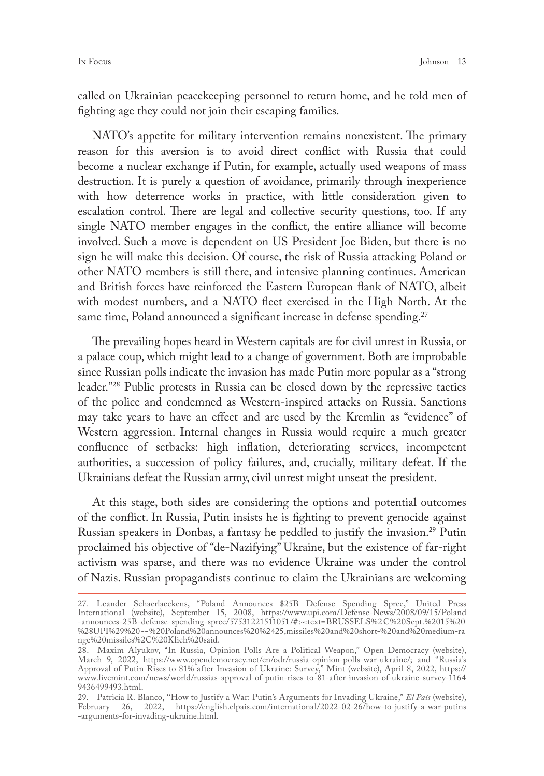called on Ukrainian peacekeeping personnel to return home, and he told men of fighting age they could not join their escaping families.

NATO's appetite for military intervention remains nonexistent. The primary reason for this aversion is to avoid direct conflict with Russia that could become a nuclear exchange if Putin, for example, actually used weapons of mass destruction. It is purely a question of avoidance, primarily through inexperience with how deterrence works in practice, with little consideration given to escalation control. There are legal and collective security questions, too. If any single NATO member engages in the conflict, the entire alliance will become involved. Such a move is dependent on US President Joe Biden, but there is no sign he will make this decision. Of course, the risk of Russia attacking Poland or other NATO members is still there, and intensive planning continues. American and British forces have reinforced the Eastern European flank of NATO, albeit with modest numbers, and a NATO fleet exercised in the High North. At the same time, Poland announced a significant increase in defense spending.<sup>27</sup>

The prevailing hopes heard in Western capitals are for civil unrest in Russia, or a palace coup, which might lead to a change of government. Both are improbable since Russian polls indicate the invasion has made Putin more popular as a "strong leader."28 Public protests in Russia can be closed down by the repressive tactics of the police and condemned as Western-inspired attacks on Russia. Sanctions may take years to have an effect and are used by the Kremlin as "evidence" of Western aggression. Internal changes in Russia would require a much greater confluence of setbacks: high inflation, deteriorating services, incompetent authorities, a succession of policy failures, and, crucially, military defeat. If the Ukrainians defeat the Russian army, civil unrest might unseat the president.

At this stage, both sides are considering the options and potential outcomes of the conflict. In Russia, Putin insists he is fighting to prevent genocide against Russian speakers in Donbas, a fantasy he peddled to justify the invasion.<sup>29</sup> Putin proclaimed his objective of "de-Nazifying" Ukraine, but the existence of far-right activism was sparse, and there was no evidence Ukraine was under the control of Nazis. Russian propagandists continue to claim the Ukrainians are welcoming

<sup>27.</sup> Leander Schaerlaeckens, "Poland Announces \$25B Defense Spending Spree," United Press International (website), September 15, 2008, [https://www.upi.com/Defense-News/2008/09/15/Poland](https://www.upi.com/Defense-News/2008/09/15/Poland - announces -25B -defense- spending- spree/ 57531221511051 /# :~: text= BRUSSELS % 2 C % 20Sept. % 2015 %20%28UPI%29%20 -- %20Poland% 20announces% 20%2425,missiles%20and%20short-%20and%20medium-ra nge%20m) [-announces-25B-defense-spending-spree/57531221511051/#](https://www.upi.com/Defense-News/2008/09/15/Poland - announces -25B -defense- spending- spree/ 57531221511051 /# :~: text= BRUSSELS % 2 C % 20Sept. % 2015 %20%28UPI%29%20 -- %20Poland% 20announces% 20%2425,missiles%20and%20short-%20and%20medium-ra nge%20m) :~:text=BRUSSELS%2C%20Sept.%2015%20 %28UPI%29%20 [--%20Poland%20announces%20%2425,missiles%20and%20short-%20and%20medium-ra](https://www.upi.com/Defense-News/2008/09/15/Poland - announces -25B -defense- spending- spree/ 57531221511051 /# :~: text= BRUSSELS % 2 C % 20Sept. % 2015 %20%28UPI%29%20 -- %20Poland% 20announces% 20%2425,missiles%20and%20short-%20and%20medium-ra nge%20m) [nge%20missiles%2C%20Klich%20said.](https://www.upi.com/Defense-News/2008/09/15/Poland - announces -25B -defense- spending- spree/ 57531221511051 /# :~: text= BRUSSELS % 2 C % 20Sept. % 2015 %20%28UPI%29%20 -- %20Poland% 20announces% 20%2425,missiles%20and%20short-%20and%20medium-ra nge%20m)

<sup>28.</sup> Maxim Alyukov, "In Russia, Opinion Polls Are a Political Weapon," Open Democracy (website), March 9, 2022, <https://www.opendemocracy.net/en/odr/russia-opinion-polls-war-ukraine/>; and "Russia's Approval of Putin Rises to 81% after Invasion of Ukraine: Survey," Mint (website), April 8, 2022, [https://](https://www.livemint.com/ news/ world/russias-approval-of-putin-rises-to-81-after-invasion-of-ukraine-survey-11649436499493.html) [www.livemint.com/news/world/russias-approval-of-putin-rises-to-81-after-invasion-of-ukraine-survey-1164](https://www.livemint.com/ news/ world/russias-approval-of-putin-rises-to-81-after-invasion-of-ukraine-survey-11649436499493.html) [9436499493.html.](https://www.livemint.com/ news/ world/russias-approval-of-putin-rises-to-81-after-invasion-of-ukraine-survey-11649436499493.html)

<sup>29.</sup> Patricia R. Blanco, ''How to Justify a War: Putin's Arguments for Invading Ukraine," *El País* (website), February 26, 2022, [https://english.elpais.com/international/2022-02-26/how-to-justify-a-war-putins](https://english.elpais.com/international/2022-02-26/how-to-justify-a-war-putins-arguments-for-invading-ukraine.html) [-arguments-for-invading-ukraine.html.](https://english.elpais.com/international/2022-02-26/how-to-justify-a-war-putins-arguments-for-invading-ukraine.html)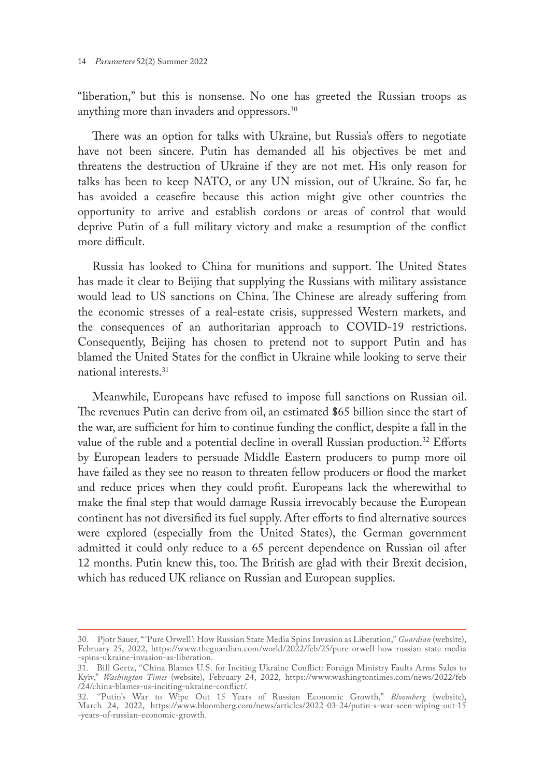"liberation," but this is nonsense. No one has greeted the Russian troops as anything more than invaders and oppressors.30

There was an option for talks with Ukraine, but Russia's offers to negotiate have not been sincere. Putin has demanded all his objectives be met and threatens the destruction of Ukraine if they are not met. His only reason for talks has been to keep NATO, or any UN mission, out of Ukraine. So far, he has avoided a ceasefire because this action might give other countries the opportunity to arrive and establish cordons or areas of control that would deprive Putin of a full military victory and make a resumption of the conflict more difficult.

Russia has looked to China for munitions and support. The United States has made it clear to Beijing that supplying the Russians with military assistance would lead to US sanctions on China. The Chinese are already suffering from the economic stresses of a real-estate crisis, suppressed Western markets, and the consequences of an authoritarian approach to COVID-19 restrictions. Consequently, Beijing has chosen to pretend not to support Putin and has blamed the United States for the conflict in Ukraine while looking to serve their national interests.31

Meanwhile, Europeans have refused to impose full sanctions on Russian oil. The revenues Putin can derive from oil, an estimated \$65 billion since the start of the war, are sufficient for him to continue funding the conflict, despite a fall in the value of the ruble and a potential decline in overall Russian production.<sup>32</sup> Efforts by European leaders to persuade Middle Eastern producers to pump more oil have failed as they see no reason to threaten fellow producers or flood the market and reduce prices when they could profit. Europeans lack the wherewithal to make the final step that would damage Russia irrevocably because the European continent has not diversified its fuel supply. After efforts to find alternative sources were explored (especially from the United States), the German government admitted it could only reduce to a 65 percent dependence on Russian oil after 12 months. Putin knew this, too. The British are glad with their Brexit decision, which has reduced UK reliance on Russian and European supplies.

<sup>30.</sup> Pjotr Sauer, "'Pure Orwell': How Russian State Media Spins Invasion as Liberation," *Guardian* (website), February 25, 2022, [https://www.theguardian.com/world/2022/feb/25/pure-orwell-how-russian-state-media](https://www.theguardian.com/world/2022/feb/25/pure-orwell-how-russian-state-media-spins-ukraine-invasion-as-liberation) [-spins-ukraine-invasion-as-liberation](https://www.theguardian.com/world/2022/feb/25/pure-orwell-how-russian-state-media-spins-ukraine-invasion-as-liberation).

<sup>31.</sup> Bill Gertz, ''China Blames U.S. for Inciting Ukraine Conflict: Foreign Ministry Faults Arms Sales to Kyiv," *Washington Times* (website), February 24, 2022, [https://www.washingtontimes.com/news/2022/feb](https://www.washingtontimes.com/news/2022/feb/24/china-blames-us-inciting-ukraine-conflict/) [/24/china-blames-us-inciting-ukraine-conflict/.](https://www.washingtontimes.com/news/2022/feb/24/china-blames-us-inciting-ukraine-conflict/)

<sup>32.</sup> ''Putin's War to Wipe Out 15 Years of Russian Economic Growth," *Bloomberg* (website), March 24, 2022, [https://www.bloomberg.com/news/articles/2022-03-24/putin-s-war-seen-wiping-out-15](https://www.bloomberg.com/news/articles/2022-03-24/putin-s-war-seen-wiping-out-15-years-of-russian-economic-growth) [-years-of-russian-economic-growth.](https://www.bloomberg.com/news/articles/2022-03-24/putin-s-war-seen-wiping-out-15-years-of-russian-economic-growth)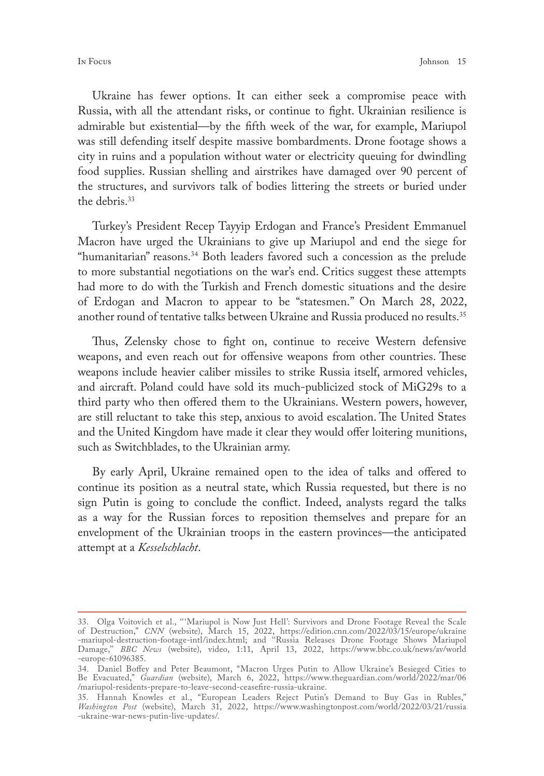Ukraine has fewer options. It can either seek a compromise peace with Russia, with all the attendant risks, or continue to fight. Ukrainian resilience is admirable but existential—by the fifth week of the war, for example, Mariupol was still defending itself despite massive bombardments. Drone footage shows a city in ruins and a population without water or electricity queuing for dwindling food supplies. Russian shelling and airstrikes have damaged over 90 percent of the structures, and survivors talk of bodies littering the streets or buried under the debris.<sup>33</sup>

Turkey's President Recep Tayyip Erdogan and France's President Emmanuel Macron have urged the Ukrainians to give up Mariupol and end the siege for "humanitarian" reasons.34 Both leaders favored such a concession as the prelude to more substantial negotiations on the war's end. Critics suggest these attempts had more to do with the Turkish and French domestic situations and the desire of Erdogan and Macron to appear to be "statesmen." On March 28, 2022, another round of tentative talks between Ukraine and Russia produced no results.<sup>35</sup>

Thus, Zelensky chose to fight on, continue to receive Western defensive weapons, and even reach out for offensive weapons from other countries. These weapons include heavier caliber missiles to strike Russia itself, armored vehicles, and aircraft. Poland could have sold its much-publicized stock of MiG29s to a third party who then offered them to the Ukrainians. Western powers, however, are still reluctant to take this step, anxious to avoid escalation. The United States and the United Kingdom have made it clear they would offer loitering munitions, such as Switchblades, to the Ukrainian army.

By early April, Ukraine remained open to the idea of talks and offered to continue its position as a neutral state, which Russia requested, but there is no sign Putin is going to conclude the conflict. Indeed, analysts regard the talks as a way for the Russian forces to reposition themselves and prepare for an envelopment of the Ukrainian troops in the eastern provinces—the anticipated attempt at a *Kesselschlacht*.

<sup>33.</sup> Olga Voitovich et al., '' 'Mariupol is Now Just Hell': Survivors and Drone Footage Reveal the Scale of Destruction," *CNN* (website), March 15, 2022, [https://edition.cnn.com/2022/03/15/europe/ukraine](https://edition.cnn.com/2022/03/15/europe/ukraine-mariupol-destruction-footage-intl/index.html) [-mariupol-destruction-footage-intl/index.html](https://edition.cnn.com/2022/03/15/europe/ukraine-mariupol-destruction-footage-intl/index.html); and ''Russia Releases Drone Footage Shows Mariupol Damage,'' *BBC News* (website), video, 1:11, April 13, 2022, [https://www.bbc.co.uk/news/av/world](https://www.bbc.co.uk/news/av/world-europe-61096385) [-europe-61096385](https://www.bbc.co.uk/news/av/world-europe-61096385).

<sup>34.</sup> Daniel Boffey and Peter Beaumont, "Macron Urges Putin to Allow Ukraine's Besieged Cities to Be Evacuated," *Guardian* (website), March 6, 2022, [https://www.theguardian.com/world/2022/mar/06](https://www.theguardian.com/world/2022/mar/06/mariupol-residents-prepare-to-leave-second-ceasefire-russia-ukraine) [/mariupol-residents-prepare-to-leave-second-ceasefire-russia-ukraine.](https://www.theguardian.com/world/2022/mar/06/mariupol-residents-prepare-to-leave-second-ceasefire-russia-ukraine)

<sup>35.</sup> Hannah Knowles et al., "European Leaders Reject Putin's Demand to Buy Gas in Rubles," *Washington Post* (website), March 31, 2022, [https://www.washingtonpost.com/world/2022/03/21/russia](https://www.washingtonpost.com/world/2022/03/21/russia-ukraine-war-news-putin-live-updates/) [-ukraine-war-news-putin-live-updates/](https://www.washingtonpost.com/world/2022/03/21/russia-ukraine-war-news-putin-live-updates/).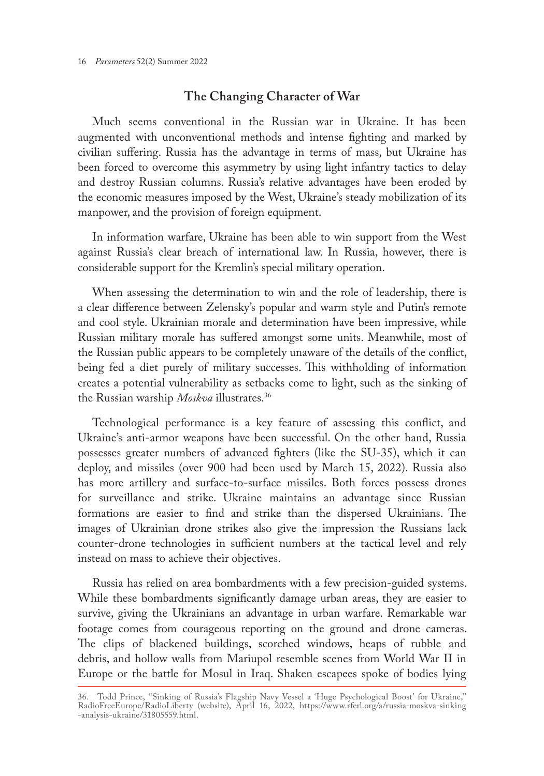### **The Changing Character of War**

Much seems conventional in the Russian war in Ukraine. It has been augmented with unconventional methods and intense fighting and marked by civilian suffering. Russia has the advantage in terms of mass, but Ukraine has been forced to overcome this asymmetry by using light infantry tactics to delay and destroy Russian columns. Russia's relative advantages have been eroded by the economic measures imposed by the West, Ukraine's steady mobilization of its manpower, and the provision of foreign equipment.

In information warfare, Ukraine has been able to win support from the West against Russia's clear breach of international law. In Russia, however, there is considerable support for the Kremlin's special military operation.

When assessing the determination to win and the role of leadership, there is a clear difference between Zelensky's popular and warm style and Putin's remote and cool style. Ukrainian morale and determination have been impressive, while Russian military morale has suffered amongst some units. Meanwhile, most of the Russian public appears to be completely unaware of the details of the conflict, being fed a diet purely of military successes. This withholding of information creates a potential vulnerability as setbacks come to light, such as the sinking of the Russian warship *Moskva* illustrates.36

Technological performance is a key feature of assessing this conflict, and Ukraine's anti-armor weapons have been successful. On the other hand, Russia possesses greater numbers of advanced fighters (like the SU-35), which it can deploy, and missiles (over 900 had been used by March 15, 2022). Russia also has more artillery and surface-to-surface missiles. Both forces possess drones for surveillance and strike. Ukraine maintains an advantage since Russian formations are easier to find and strike than the dispersed Ukrainians. The images of Ukrainian drone strikes also give the impression the Russians lack counter-drone technologies in sufficient numbers at the tactical level and rely instead on mass to achieve their objectives.

Russia has relied on area bombardments with a few precision-guided systems. While these bombardments significantly damage urban areas, they are easier to survive, giving the Ukrainians an advantage in urban warfare. Remarkable war footage comes from courageous reporting on the ground and drone cameras. The clips of blackened buildings, scorched windows, heaps of rubble and debris, and hollow walls from Mariupol resemble scenes from World War II in Europe or the battle for Mosul in Iraq. Shaken escapees spoke of bodies lying

<sup>36.</sup> Todd Prince, ''Sinking of Russia's Flagship Navy Vessel a 'Huge Psychological Boost' for Ukraine,'' RadioFreeEurope/RadioLiberty (website), April 16, 2022, [https://www.rferl.org/a/russia-moskva-sinking](https://www.rferl.org/a/russia-moskva-sinking-analysis-ukraine/31805559.html) [-analysis-ukraine/31805559.html.](https://www.rferl.org/a/russia-moskva-sinking-analysis-ukraine/31805559.html)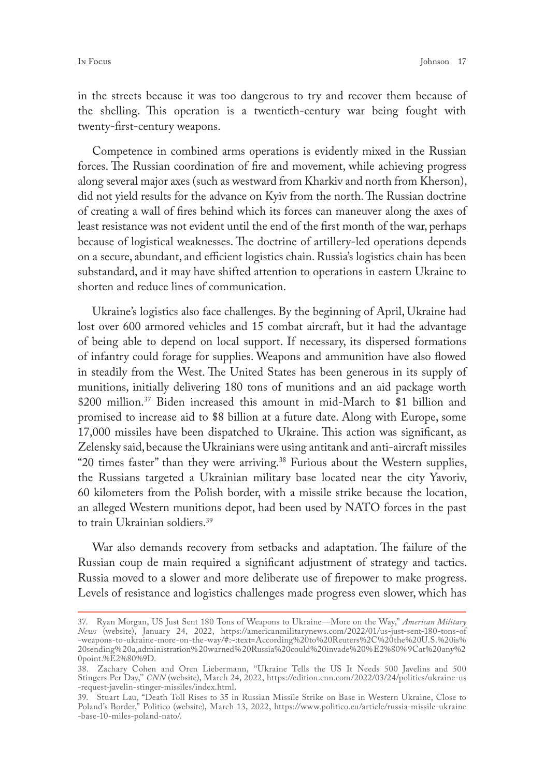in the streets because it was too dangerous to try and recover them because of the shelling. This operation is a twentieth-century war being fought with twenty-first-century weapons.

Competence in combined arms operations is evidently mixed in the Russian forces. The Russian coordination of fire and movement, while achieving progress along several major axes (such as westward from Kharkiv and north from Kherson), did not yield results for the advance on Kyiv from the north. The Russian doctrine of creating a wall of fires behind which its forces can maneuver along the axes of least resistance was not evident until the end of the first month of the war, perhaps because of logistical weaknesses. The doctrine of artillery-led operations depends on a secure, abundant, and efficient logistics chain. Russia's logistics chain has been substandard, and it may have shifted attention to operations in eastern Ukraine to shorten and reduce lines of communication.

Ukraine's logistics also face challenges. By the beginning of April, Ukraine had lost over 600 armored vehicles and 15 combat aircraft, but it had the advantage of being able to depend on local support. If necessary, its dispersed formations of infantry could forage for supplies. Weapons and ammunition have also flowed in steadily from the West. The United States has been generous in its supply of munitions, initially delivering 180 tons of munitions and an aid package worth \$200 million.37 Biden increased this amount in mid-March to \$1 billion and promised to increase aid to \$8 billion at a future date. Along with Europe, some 17,000 missiles have been dispatched to Ukraine. This action was significant, as Zelensky said, because the Ukrainians were using antitank and anti-aircraft missiles "20 times faster" than they were arriving.<sup>38</sup> Furious about the Western supplies, the Russians targeted a Ukrainian military base located near the city Yavoriv, 60 kilometers from the Polish border, with a missile strike because the location, an alleged Western munitions depot, had been used by NATO forces in the past to train Ukrainian soldiers.39

War also demands recovery from setbacks and adaptation. The failure of the Russian coup de main required a significant adjustment of strategy and tactics. Russia moved to a slower and more deliberate use of firepower to make progress. Levels of resistance and logistics challenges made progress even slower, which has

<sup>37.</sup> Ryan Morgan, US Just Sent 180 Tons of Weapons to Ukraine—More on the Way," *American Military News* (website), January 24, 2022, [https://americanmilitarynews.com/2022/01/us-just-sent-180-tons-of](https://americanmilitarynews.com/2022/01/us-just-sent-180-tons-of-weapons-to-ukraine-more-on-the-way/# :~:text=According %20to%20Reuters%2C%20the%20U.S.%20is%20sending%20a,administration%20warned%20Russia%20could%20invade%20%E2%80%9Cat%20any%20point.%E2%80%9D) [-weapons-to-ukraine-more-on-the-way/#:~:text=According%20to%20Reuters%2C%20the%20U.S.%20is%](https://americanmilitarynews.com/2022/01/us-just-sent-180-tons-of-weapons-to-ukraine-more-on-the-way/# :~:text=According %20to%20Reuters%2C%20the%20U.S.%20is%20sending%20a,administration%20warned%20Russia%20could%20invade%20%E2%80%9Cat%20any%20point.%E2%80%9D) [20sending%20a,administration%20warned%20Russia%20could%20invade%20%E2%80%9Cat%20any%2](https://americanmilitarynews.com/2022/01/us-just-sent-180-tons-of-weapons-to-ukraine-more-on-the-way/# :~:text=According %20to%20Reuters%2C%20the%20U.S.%20is%20sending%20a,administration%20warned%20Russia%20could%20invade%20%E2%80%9Cat%20any%20point.%E2%80%9D) [0point.%E2%80%9D.](https://americanmilitarynews.com/2022/01/us-just-sent-180-tons-of-weapons-to-ukraine-more-on-the-way/# :~:text=According %20to%20Reuters%2C%20the%20U.S.%20is%20sending%20a,administration%20warned%20Russia%20could%20invade%20%E2%80%9Cat%20any%20point.%E2%80%9D)

<sup>38.</sup> Zachary Cohen and Oren Liebermann, ''Ukraine Tells the US It Needs 500 Javelins and 500 Stingers Per Day,'' *CNN* (website), March 24, 2022, [https://edition.cnn.com/2022/03/24/politics/ukraine-us](https://edition.cnn.com/2022/03/24/politics/ukraine-us-request-javelin-stinger-missiles/index.html) [-request-javelin-stinger-missiles/index.html](https://edition.cnn.com/2022/03/24/politics/ukraine-us-request-javelin-stinger-missiles/index.html).

<sup>39.</sup> Stuart Lau, "Death Toll Rises to 35 in Russian Missile Strike on Base in Western Ukraine, Close to Poland's Border," Politico (website), March 13, 2022, [https://www.politico.eu/article/russia-missile-ukraine](https://www.politico.eu/article/russia-missile-ukraine-base-10-miles-poland-nato/) [-base-10-miles-poland-nato/](https://www.politico.eu/article/russia-missile-ukraine-base-10-miles-poland-nato/).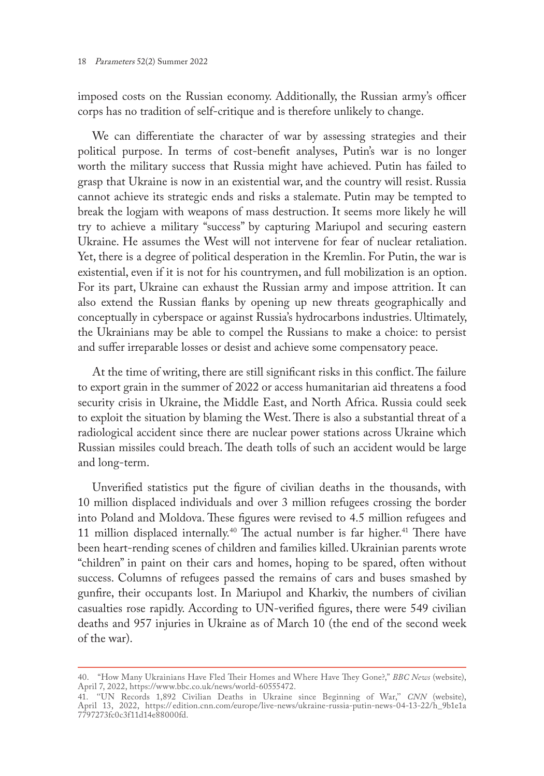imposed costs on the Russian economy. Additionally, the Russian army's officer corps has no tradition of self-critique and is therefore unlikely to change.

We can differentiate the character of war by assessing strategies and their political purpose. In terms of cost-benefit analyses, Putin's war is no longer worth the military success that Russia might have achieved. Putin has failed to grasp that Ukraine is now in an existential war, and the country will resist. Russia cannot achieve its strategic ends and risks a stalemate. Putin may be tempted to break the logjam with weapons of mass destruction. It seems more likely he will try to achieve a military "success" by capturing Mariupol and securing eastern Ukraine. He assumes the West will not intervene for fear of nuclear retaliation. Yet, there is a degree of political desperation in the Kremlin. For Putin, the war is existential, even if it is not for his countrymen, and full mobilization is an option. For its part, Ukraine can exhaust the Russian army and impose attrition. It can also extend the Russian flanks by opening up new threats geographically and conceptually in cyberspace or against Russia's hydrocarbons industries. Ultimately, the Ukrainians may be able to compel the Russians to make a choice: to persist and suffer irreparable losses or desist and achieve some compensatory peace.

At the time of writing, there are still significant risks in this conflict. The failure to export grain in the summer of 2022 or access humanitarian aid threatens a food security crisis in Ukraine, the Middle East, and North Africa. Russia could seek to exploit the situation by blaming the West. There is also a substantial threat of a radiological accident since there are nuclear power stations across Ukraine which Russian missiles could breach. The death tolls of such an accident would be large and long-term.

Unverified statistics put the figure of civilian deaths in the thousands, with 10 million displaced individuals and over 3 million refugees crossing the border into Poland and Moldova. These figures were revised to 4.5 million refugees and 11 million displaced internally.<sup>40</sup> The actual number is far higher.<sup>41</sup> There have been heart-rending scenes of children and families killed. Ukrainian parents wrote "children" in paint on their cars and homes, hoping to be spared, often without success. Columns of refugees passed the remains of cars and buses smashed by gunfire, their occupants lost. In Mariupol and Kharkiv, the numbers of civilian casualties rose rapidly. According to UN-verified figures, there were 549 civilian deaths and 957 injuries in Ukraine as of March 10 (the end of the second week of the war).

<sup>40.</sup> "How Many Ukrainians Have Fled Their Homes and Where Have They Gone?," *BBC News* (website), April 7, 2022,<https://www.bbc.co.uk/news/world-60555472>.

<sup>41.</sup> ''UN Records 1,892 Civilian Deaths in Ukraine since Beginning of War,'' *CNN* (website), April 13, 2022, https:// [edition.cnn.com/europe/live-news/ukraine-russia-putin-news-04-13-22/h\\_9b1e1a](https://edition.cnn.com/europe/live-news/ukraine-russia-putin-news-04-13-22/h_9b1e1a7797273fc0c3f11d14e88000fd) [7797273fc0c3f11d14e88000fd.](https://edition.cnn.com/europe/live-news/ukraine-russia-putin-news-04-13-22/h_9b1e1a7797273fc0c3f11d14e88000fd)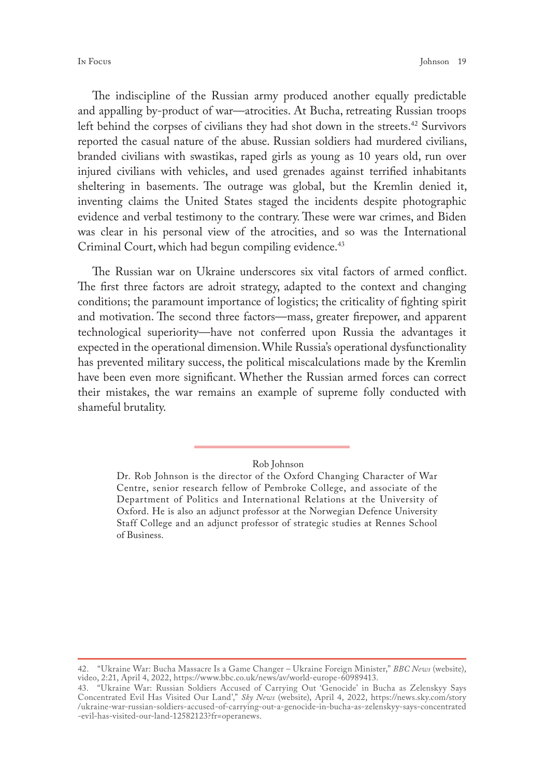The indiscipline of the Russian army produced another equally predictable and appalling by-product of war—atrocities. At Bucha, retreating Russian troops left behind the corpses of civilians they had shot down in the streets.<sup>42</sup> Survivors reported the casual nature of the abuse. Russian soldiers had murdered civilians, branded civilians with swastikas, raped girls as young as 10 years old, run over injured civilians with vehicles, and used grenades against terrified inhabitants sheltering in basements. The outrage was global, but the Kremlin denied it, inventing claims the United States staged the incidents despite photographic evidence and verbal testimony to the contrary. These were war crimes, and Biden was clear in his personal view of the atrocities, and so was the International Criminal Court, which had begun compiling evidence.<sup>43</sup>

The Russian war on Ukraine underscores six vital factors of armed conflict. The first three factors are adroit strategy, adapted to the context and changing conditions; the paramount importance of logistics; the criticality of fighting spirit and motivation. The second three factors—mass, greater firepower, and apparent technological superiority—have not conferred upon Russia the advantages it expected in the operational dimension. While Russia's operational dysfunctionality has prevented military success, the political miscalculations made by the Kremlin have been even more significant. Whether the Russian armed forces can correct their mistakes, the war remains an example of supreme folly conducted with shameful brutality.

Rob Johnson

Dr. Rob Johnson is the director of the Oxford Changing Character of War Centre, senior research fellow of Pembroke College, and associate of the Department of Politics and International Relations at the University of Oxford. He is also an adjunct professor at the Norwegian Defence University Staff College and an adjunct professor of strategic studies at Rennes School of Business.

<sup>42.</sup> "Ukraine War: Bucha Massacre Is a Game Changer – Ukraine Foreign Minister," *BBC News* (website), video, 2:21, April 4, 2022, [https://www.bbc.co.uk/news/av/world-europe-60989413.](https://www.bbc.co.uk/news/av/world-europe-60989413)

<sup>43.</sup> "Ukraine War: Russian Soldiers Accused of Carrying Out 'Genocide' in Bucha as Zelenskyy Says Concentrated Evil Has Visited Our Land'," *Sky News* (website), April 4, 2022, [https://news.sky.com/story](https://news.sky.com/story/ukraine-war-russian-soldiers-accused -of-carrying-out-a-genocide-in-bucha-as-zelenskyy-says-concentrated-evil-has-visited-our-land-12582123?fr=operanews) [/ukraine-war-russian-soldiers-accused-of-carrying-out-a-genocide-in-bucha-as-zelenskyy-says-concentrated](https://news.sky.com/story/ukraine-war-russian-soldiers-accused -of-carrying-out-a-genocide-in-bucha-as-zelenskyy-says-concentrated-evil-has-visited-our-land-12582123?fr=operanews) [-evil-has-visited-our-land-12582123?fr=operanews](https://news.sky.com/story/ukraine-war-russian-soldiers-accused -of-carrying-out-a-genocide-in-bucha-as-zelenskyy-says-concentrated-evil-has-visited-our-land-12582123?fr=operanews).